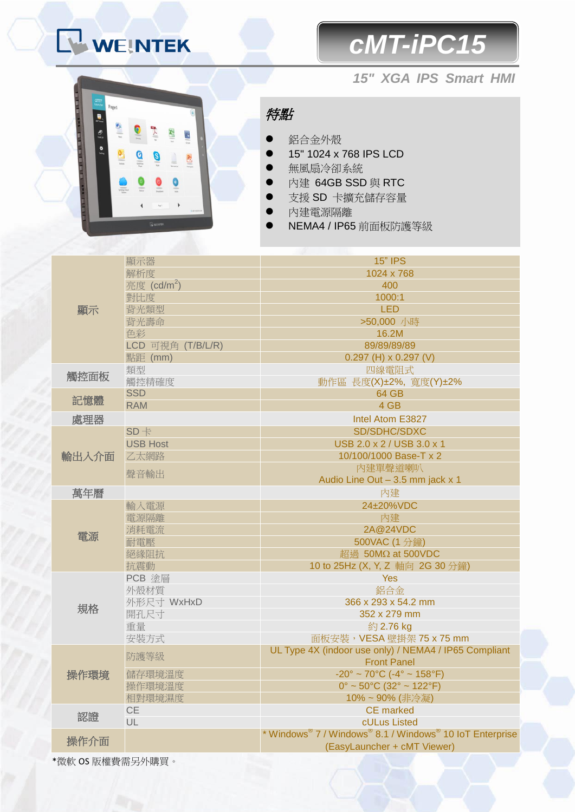## WEINTEK

## *cMT-iPC15*





特點

- 鋁合金外殼
- 15" 1024 x 768 IPS LCD
- 無風扇冷卻系統
- 內建 64GB SSD 與 RTC
- 支援 SD 卡擴充儲存容量
- 內建電源隔離
- NEMA4 / IP65 前面板防護等級

|       | 顯示器                                                 | <b>15" IPS</b>                                           |
|-------|-----------------------------------------------------|----------------------------------------------------------|
| 顯示    | 解析度                                                 | 1024 x 768                                               |
|       | 亮度 (cd/m <sup>2</sup> )                             | 400                                                      |
|       | 對比度                                                 | 1000:1                                                   |
|       | 背光類型                                                | <b>LED</b>                                               |
|       | 背光壽命                                                | >50,000 小時                                               |
|       | 色彩                                                  | 16.2M                                                    |
|       | LCD 可視角 (T/B/L/R)                                   | 89/89/89/89                                              |
|       | 點距 (mm)                                             | $0.297$ (H) x $0.297$ (V)                                |
|       | 類型                                                  | 四線電阻式                                                    |
| 觸控面板  | 觸控精確度                                               | 動作區 長度(X)±2%, 寬度(Y)±2%                                   |
|       | <b>SSD</b>                                          | 64 GB                                                    |
| 記憶體   | <b>RAM</b>                                          | 4 GB                                                     |
| 處理器   |                                                     | Intel Atom E3827                                         |
|       | $SD +$                                              | SD/SDHC/SDXC                                             |
|       | <b>USB Host</b>                                     | USB 2.0 x 2 / USB 3.0 x 1                                |
| 輸出入介面 | 乙太網路                                                | 10/100/1000 Base-T x 2                                   |
|       |                                                     | 内建單聲道喇叭                                                  |
|       | 聲音輸出                                                | Audio Line Out - 3.5 mm jack x 1                         |
| 萬年曆   |                                                     | 內建                                                       |
|       | 輸入電源                                                | 24±20%VDC                                                |
|       | 電源隔離                                                | 內建                                                       |
|       | 消耗電流                                                | 2A@24VDC                                                 |
| 電源    | 耐電壓                                                 | 500VAC (1分鐘)                                             |
|       | 絕緣阻抗                                                | 超過 50MΩ at 500VDC                                        |
|       | 抗震動                                                 | 10 to 25Hz (X, Y, Z 軸向 2G 30 分鐘)                         |
|       | PCB 塗層                                              | <b>Yes</b>                                               |
|       | 外殼材質                                                | 鋁合金                                                      |
|       | 外形尺寸 WxHxD                                          | 366 x 293 x 54.2 mm                                      |
| 規格    | 開孔尺寸                                                | 352 x 279 mm                                             |
|       | 重量                                                  | 約 2.76 kg                                                |
|       | 安裝方式                                                | 面板安裝, VESA 壁掛架 75 x 75 mm                                |
|       |                                                     | UL Type 4X (indoor use only) / NEMA4 / IP65 Compliant    |
|       | 防護等級                                                | <b>Front Panel</b>                                       |
| 操作環境  | 儲存環境溫度                                              | $-20^{\circ} \sim 70^{\circ}$ C (-4° ~ 158°F)            |
|       | 操作環境溫度                                              | $0^{\circ}$ ~ 50°C (32° ~ 122°F)                         |
|       | 相對環境濕度                                              | 10%~90% (非冷凝)                                            |
| 認證    | <b>CE</b>                                           | <b>CE</b> marked                                         |
|       | UL                                                  | cULus Listed                                             |
|       |                                                     | * Windows® 7 / Windows® 8.1 / Windows® 10 IoT Enterprise |
| 操作介面  |                                                     | (EasyLauncher + cMT Viewer)                              |
|       | $H \cap L \oplus H \oplus H \cap H$ of $H \oplus H$ |                                                          |

\*微軟 OS 版權費需另外購買。